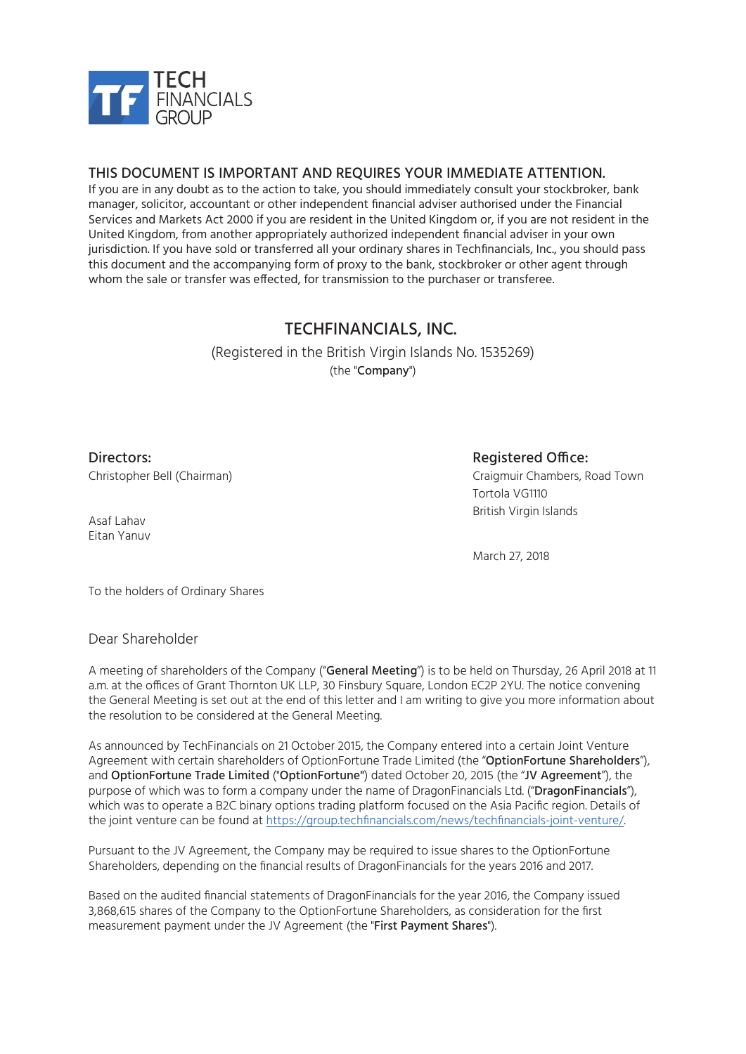

#### THIS DOCUMENT IS IMPORTANT AND REQUIRES YOUR IMMEDIATE ATTENTION.

If you are in any doubt as to the action to take, you should immediately consult your stockbroker, bank manager, solicitor, accountant or other independent financial adviser authorised under the Financial Services and Markets Act 2000 if you are resident in the United Kingdom or, if you are not resident in the United Kingdom, from another appropriately authorized independent financial adviser in your own jurisdiction. If you have sold or transferred all your ordinary shares in Techfinancials, Inc., you should pass this document and the accompanying form of proxy to the bank, stockbroker or other agent through whom the sale or transfer was effected, for transmission to the purchaser or transferee.

## TECHFINANCIALS, INC.

(Registered in the British Virgin Islands No. 1535269) (the "Company")

Directors: Christopher Bell (Chairman)

### Registered Office:

Craigmuir Chambers, Road Town Tortola VG1110 British Virgin Islands

March 27, 2018

To the holders of Ordinary Shares

#### Dear Shareholder

Asaf Lahav Eitan Yanuv

A meeting of shareholders of the Company ("General Meeting") is to be held on Thursday, 26 April 2018 at 11 a.m. at the offices of Grant Thornton UK LLP, 30 Finsbury Square, London EC2P 2YU. The notice convening the General Meeting is set out at the end of this letter and I am writing to give you more information about the resolution to be considered at the General Meeting.

As announced by TechFinancials on 21 October 2015, the Company entered into a certain Joint Venture Agreement with certain shareholders of OptionFortune Trade Limited (the "OptionFortune Shareholders"), and OptionFortune Trade Limited ("OptionFortune") dated October 20, 2015 (the "JV Agreement"), the purpose of which was to form a company under the name of DragonFinancials Ltd. ("DragonFinancials"), which was to operate a B2C binary options trading platform focused on the Asia Pacific region. Details of the joint venture can be found at https://group.techfinancials.com/news/techfinancials-joint-venture/.

Pursuant to the JV Agreement, the Company may be required to issue shares to the OptionFortune Shareholders, depending on the financial results of DragonFinancials for the years 2016 and 2017.

Based on the audited financial statements of DragonFinancials for the year 2016, the Company issued 3,868,615 shares of the Company to the OptionFortune Shareholders, as consideration for the first measurement payment under the JV Agreement (the "First Payment Shares").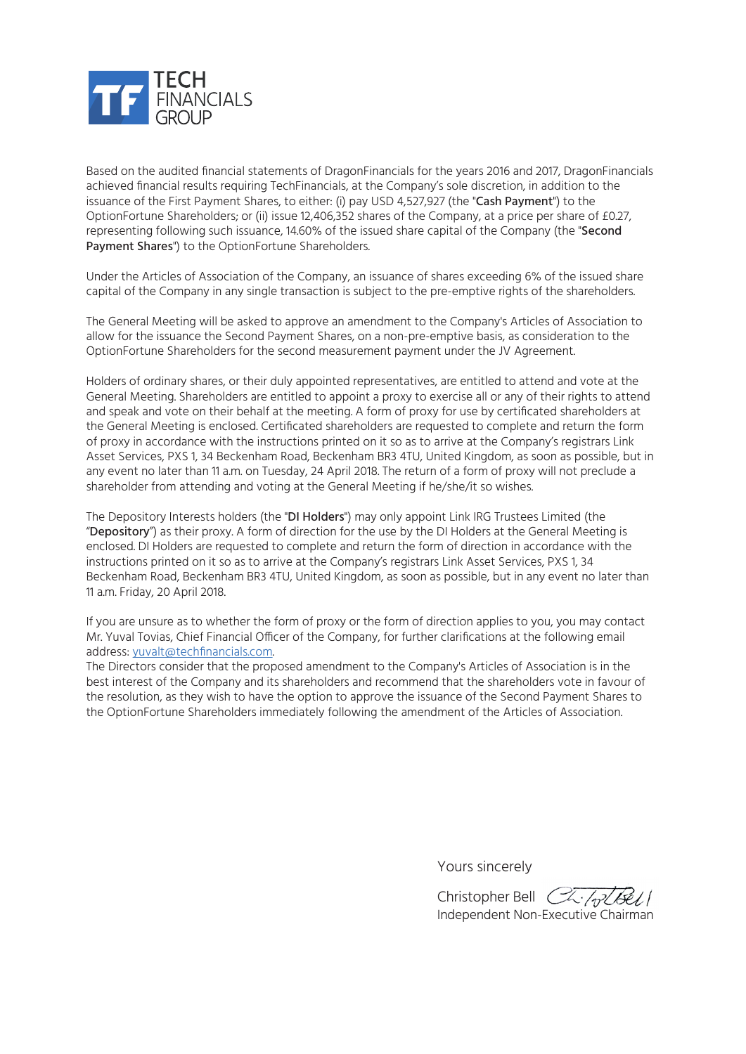

Based on the audited financial statements of DragonFinancials for the years 2016 and 2017, DragonFinancials achieved financial results requiring TechFinancials, at the Company's sole discretion, in addition to the issuance of the First Payment Shares, to either: (i) pay USD 4,527,927 (the "Cash Payment") to the OptionFortune Shareholders; or (ii) issue 12,406,352 shares of the Company, at a price per share of £0.27, representing following such issuance, 14.60% of the issued share capital of the Company (the "Second Payment Shares") to the OptionFortune Shareholders.

Under the Articles of Association of the Company, an issuance of shares exceeding 6% of the issued share capital of the Company in any single transaction is subject to the pre-emptive rights of the shareholders.

The General Meeting will be asked to approve an amendment to the Company's Articles of Association to allow for the issuance the Second Payment Shares, on a non-pre-emptive basis, as consideration to the OptionFortune Shareholders for the second measurement payment under the JV Agreement.

Holders of ordinary shares, or their duly appointed representatives, are entitled to attend and vote at the General Meeting. Shareholders are entitled to appoint a proxy to exercise all or any of their rights to attend and speak and vote on their behalf at the meeting. A form of proxy for use by certificated shareholders at the General Meeting is enclosed. Certificated shareholders are requested to complete and return the form of proxy in accordance with the instructions printed on it so as to arrive at the Company's registrars Link Asset Services, PXS 1, 34 Beckenham Road, Beckenham BR3 4TU, United Kingdom, as soon as possible, but in any event no later than 11 a.m. on Tuesday, 24 April 2018. The return of a form of proxy will not preclude a shareholder from attending and voting at the General Meeting if he/she/it so wishes.

The Depository Interests holders (the "DI Holders") may only appoint Link IRG Trustees Limited (the "Depository") as their proxy. A form of direction for the use by the DI Holders at the General Meeting is enclosed. DI Holders are requested to complete and return the form of direction in accordance with the instructions printed on it so as to arrive at the Company's registrars Link Asset Services, PXS 1, 34 Beckenham Road, Beckenham BR3 4TU, United Kingdom, as soon as possible, but in any event no later than 11 a.m. Friday, 20 April 2018.

If you are unsure as to whether the form of proxy or the form of direction applies to you, you may contact Mr. Yuval Tovias, Chief Financial Officer of the Company, for further clarifications at the following email address: yuvalt@techfinancials.com.

The Directors consider that the proposed amendment to the Company's Articles of Association is in the best interest of the Company and its shareholders and recommend that the shareholders vote in favour of the resolution, as they wish to have the option to approve the issuance of the Second Payment Shares to the OptionFortune Shareholders immediately following the amendment of the Articles of Association.

Yours sincerely

Christopher Bell CL-(plBe1) Independent Non-Executive Chairman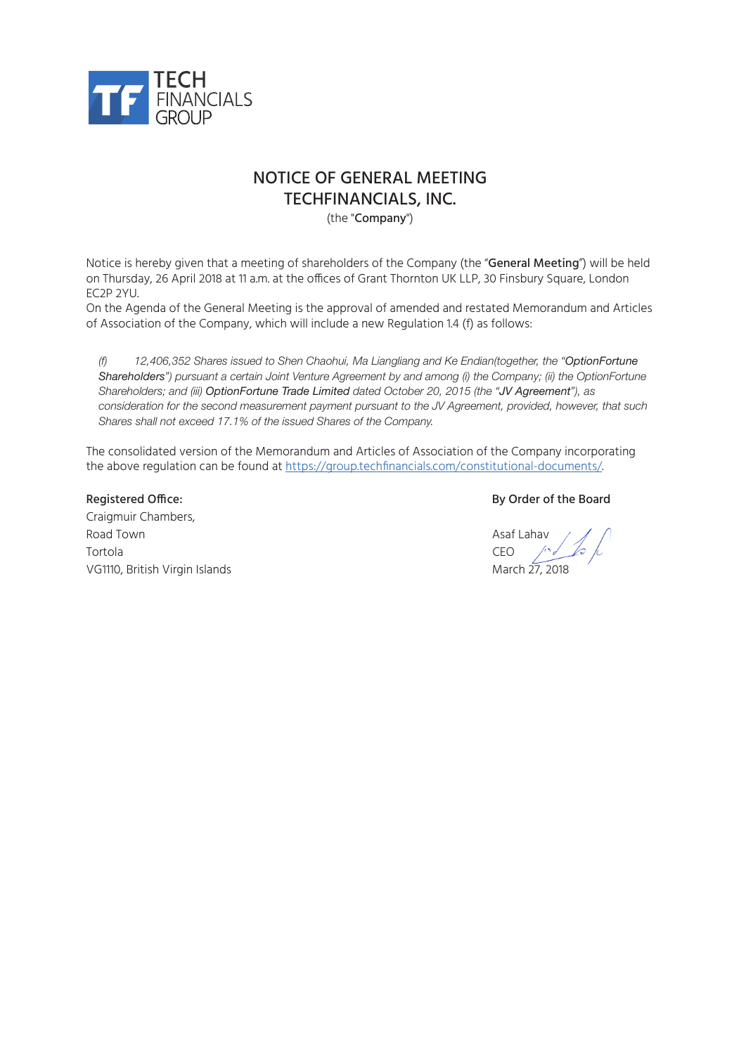

## NOTICE OF GENERAL MEETING TECHFINANCIALS, INC.

(the "Company")

Notice is hereby given that a meeting of shareholders of the Company (the "General Meeting") will be held on Thursday, 26 April 2018 at 11 a.m. at the offices of Grant Thornton UK LLP, 30 Finsbury Square, London EC2P 2YU.

On the Agenda of the General Meeting is the approval of amended and restated Memorandum and Articles of Association of the Company, which will include a new Regulation 1.4 (f) as follows:

*(f) 12,406,352 Shares issued to Shen Chaohui, Ma Liangliang and Ke Endian(together, the "OptionFortune Shareholders") pursuant a certain Joint Venture Agreement by and among (i) the Company; (ii) the OptionFortune Shareholders; and (iii) OptionFortune Trade Limited dated October 20, 2015 (the "JV Agreement"), as consideration for the second measurement payment pursuant to the JV Agreement, provided, however, that such Shares shall not exceed 17.1% of the issued Shares of the Company.*

The consolidated version of the Memorandum and Articles of Association of the Company incorporating the above regulation can be found at https://group.techfinancials.com/constitutional-documents/.

Craigmuir Chambers, Road Town Asaf Lahav Asaf Lahav Asaf Lahav Asaf Lahav Asaf Lahav Asaf Lahav Asaf Lahav Asaf Lahav Asaf Lahav A Tortola CEO VG1110, British Virgin Islands March 27, 2018

#### Registered Office: The Board Control of the Board By Order of the Board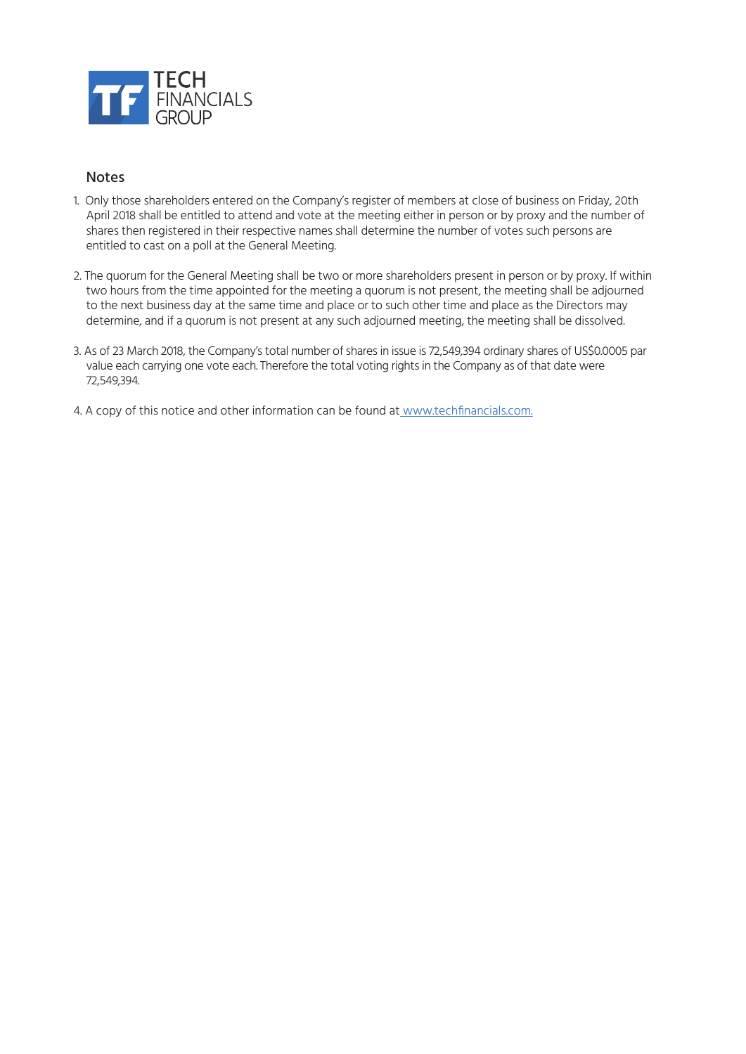

#### Notes

- 1. Only those shareholders entered on the Company's register of members at close of business on Friday, 20th April 2018 shall be entitled to attend and vote at the meeting either in person or by proxy and the number of shares then registered in their respective names shall determine the number of votes such persons are entitled to cast on a poll at the General Meeting.
- 2. The quorum for the General Meeting shall be two or more shareholders present in person or by proxy. If within two hours from the time appointed for the meeting a quorum is not present, the meeting shall be adjourned to the next business day at the same time and place or to such other time and place as the Directors may determine, and if a quorum is not present at any such adjourned meeting, the meeting shall be dissolved.
- 3. As of 23 March 2018, the Company's total number of shares in issue is 72,549,394 ordinary shares of US\$0.0005 par value each carrying one vote each. Therefore the total voting rights in the Company as of that date were 72,549,394.
- 4. A copy of this notice and other information can be found at www.techfinancials.com.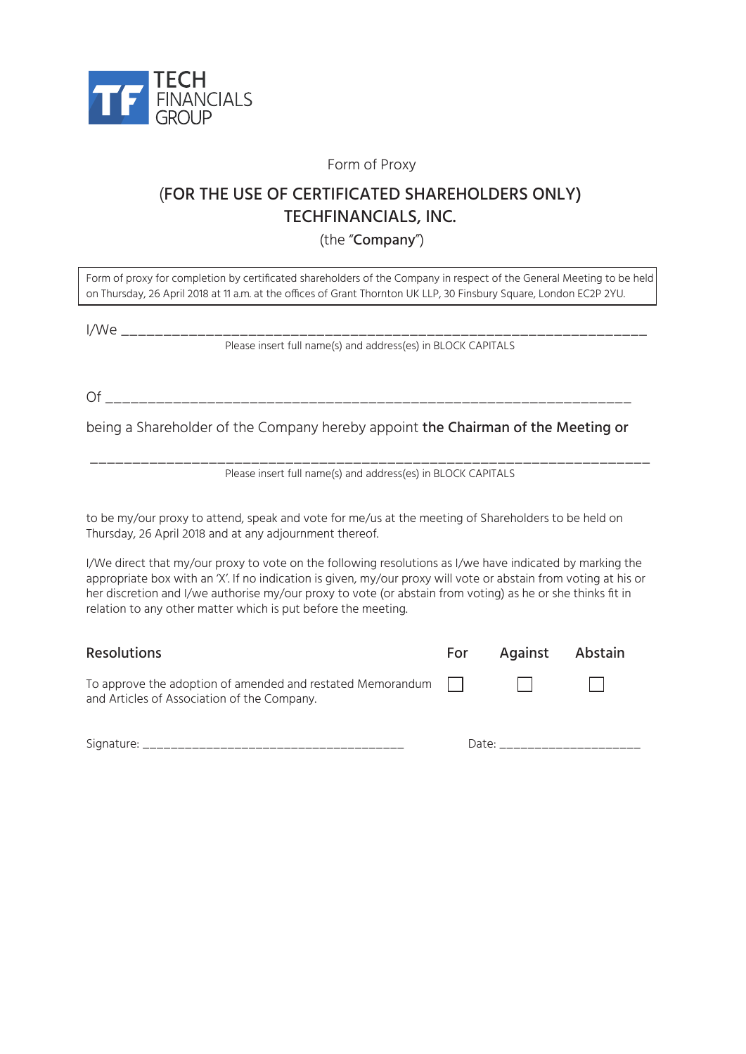

Form of Proxy

# (FOR THE USE OF CERTIFICATED SHAREHOLDERS ONLY) TECHFINANCIALS, INC.

(the "Company")

Form of proxy for completion by certificated shareholders of the Company in respect of the General Meeting to be held on Thursday, 26 April 2018 at 11 a.m. at the offices of Grant Thornton UK LLP, 30 Finsbury Square, London EC2P 2YU.

I/We \_\_\_\_\_\_\_\_\_\_\_\_\_\_\_\_\_\_\_\_\_\_\_\_\_\_\_\_\_\_\_\_\_\_\_\_\_\_\_\_\_\_\_\_\_\_\_\_\_\_\_\_\_\_\_\_\_\_\_\_\_\_

Please insert full name(s) and address(es) in BLOCK CAPITALS

Of \_\_\_\_\_\_\_\_\_\_\_\_\_\_\_\_\_\_\_\_\_\_\_\_\_\_\_\_\_\_\_\_\_\_\_\_\_\_\_\_\_\_\_\_\_\_\_\_\_\_\_\_\_\_\_\_\_\_\_\_\_\_

being a Shareholder of the Company hereby appoint the Chairman of the Meeting or

\_\_\_\_\_\_\_\_\_\_\_\_\_\_\_\_\_\_\_\_\_\_\_\_\_\_\_\_\_\_\_\_\_\_\_\_\_\_\_\_\_\_\_\_\_\_\_\_\_\_\_\_\_\_\_\_\_\_\_\_\_\_\_\_\_\_ Please insert full name(s) and address(es) in BLOCK CAPITALS

to be my/our proxy to attend, speak and vote for me/us at the meeting of Shareholders to be held on Thursday, 26 April 2018 and at any adjournment thereof.

I/We direct that my/our proxy to vote on the following resolutions as I/we have indicated by marking the appropriate box with an 'X'. If no indication is given, my/our proxy will vote or abstain from voting at his or her discretion and I/we authorise my/our proxy to vote (or abstain from voting) as he or she thinks fit in relation to any other matter which is put before the meeting.

| <b>Resolutions</b>                                                                                               | For Against Abstain |  |
|------------------------------------------------------------------------------------------------------------------|---------------------|--|
| To approve the adoption of amended and restated Memorandum $\Box$<br>and Articles of Association of the Company. |                     |  |

Signature: \_\_\_\_\_\_\_\_\_\_\_\_\_\_\_\_\_\_\_\_\_\_\_\_\_\_\_\_\_\_\_\_\_\_\_\_\_ Date: \_\_\_\_\_\_\_\_\_\_\_\_\_\_\_\_\_\_\_\_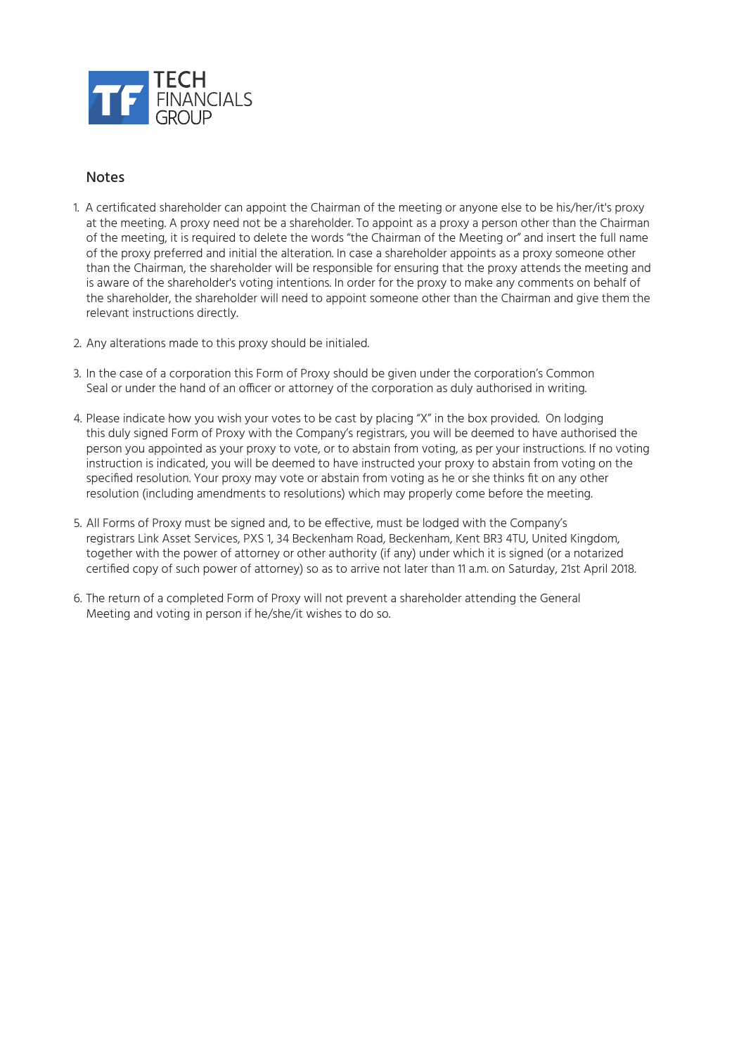

#### **Notes**

- 1. A certificated shareholder can appoint the Chairman of the meeting or anyone else to be his/her/it's proxy at the meeting. A proxy need not be a shareholder. To appoint as a proxy a person other than the Chairman of the meeting, it is required to delete the words "the Chairman of the Meeting or" and insert the full name of the proxy preferred and initial the alteration. In case a shareholder appoints as a proxy someone other than the Chairman, the shareholder will be responsible for ensuring that the proxy attends the meeting and is aware of the shareholder's voting intentions. In order for the proxy to make any comments on behalf of the shareholder, the shareholder will need to appoint someone other than the Chairman and give them the relevant instructions directly.
- 2. Any alterations made to this proxy should be initialed.
- 3. In the case of a corporation this Form of Proxy should be given under the corporation's Common Seal or under the hand of an officer or attorney of the corporation as duly authorised in writing.
- 4. Please indicate how you wish your votes to be cast by placing "X" in the box provided. On lodging this duly signed Form of Proxy with the Company's registrars, you will be deemed to have authorised the person you appointed as your proxy to vote, or to abstain from voting, as per your instructions. If no voting instruction is indicated, you will be deemed to have instructed your proxy to abstain from voting on the specified resolution. Your proxy may vote or abstain from voting as he or she thinks fit on any other resolution (including amendments to resolutions) which may properly come before the meeting.
- 5. All Forms of Proxy must be signed and, to be effective, must be lodged with the Company's registrars Link Asset Services, PXS 1, 34 Beckenham Road, Beckenham, Kent BR3 4TU, United Kingdom, together with the power of attorney or other authority (if any) under which it is signed (or a notarized certified copy of such power of attorney) so as to arrive not later than 11 a.m. on Saturday, 21st April 2018.
- 6. The return of a completed Form of Proxy will not prevent a shareholder attending the General Meeting and voting in person if he/she/it wishes to do so.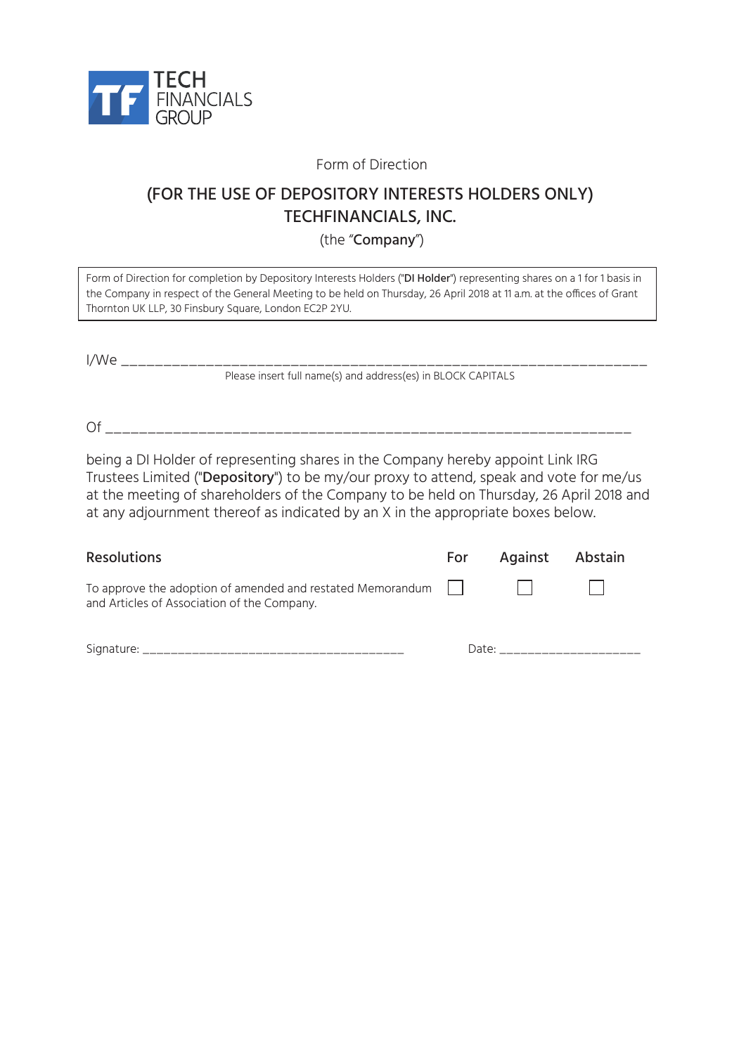

Form of Direction

# (FOR THE USE OF DEPOSITORY INTERESTS HOLDERS ONLY) TECHFINANCIALS, INC.

(the "Company")

| Form of Direction for completion by Depository Interests Holders ("DI Holder") representing shares on a 1 for 1 basis in |
|--------------------------------------------------------------------------------------------------------------------------|
| the Company in respect of the General Meeting to be held on Thursday, 26 April 2018 at 11 a.m. at the offices of Grant   |
| Thornton UK LLP, 30 Finsbury Square, London EC2P 2YU.                                                                    |

| I/We                                                         |  |
|--------------------------------------------------------------|--|
| Please insert full name(s) and address(es) in BLOCK CAPITALS |  |

Of \_\_\_\_\_\_\_\_\_\_\_\_\_\_\_\_\_\_\_\_\_\_\_\_\_\_\_\_\_\_\_\_\_\_\_\_\_\_\_\_\_\_\_\_\_\_\_\_\_\_\_\_\_\_\_\_\_\_\_\_\_\_

being a DI Holder of representing shares in the Company hereby appoint Link IRG Trustees Limited ("Depository") to be my/our proxy to attend, speak and vote for me/us at the meeting of shareholders of the Company to be held on Thursday, 26 April 2018 and at any adjournment thereof as indicated by an X in the appropriate boxes below.

| <b>Resolutions</b>                                                                                                            |       | For Against Abstain |  |
|-------------------------------------------------------------------------------------------------------------------------------|-------|---------------------|--|
| To approve the adoption of amended and restated Memorandum $  $ $  $ $  $ $  $<br>and Articles of Association of the Company. |       |                     |  |
| Signature: $\overline{\phantom{a}}$                                                                                           | Date: |                     |  |